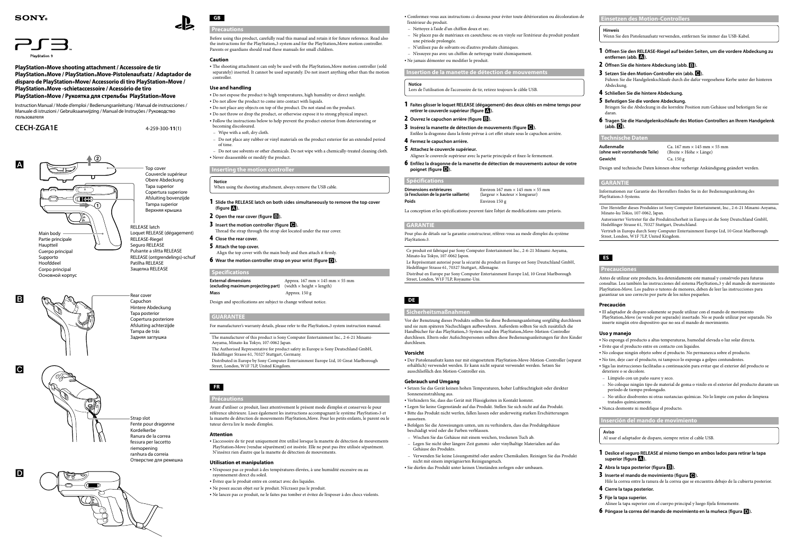**GB**

# **Precautions**

Before using this product, carefully read this manual and retain it for future reference. Read also the instructions for the PlayStation®3 system and for the PlayStation®Move motion controller.<br>Reserve as small intended and have assemble for small did have Parents or guardians should read these manuals for small children.

• The shooting attachment can only be used with the PlayStation®Move motion controller (sold<br>monotobion controller (sold separately) inserted. It cannot be used separately. Do not insert anything other than the motion controller.

### **Caution**

### **Use and handling**

- 2 **Open the rear cover (figure ).**
- 3 **Insert the motion controller (figure ).**
- Thread the strap through the strap slot located under the rear cover.
- 4 **Close the rear cover.**
- 5 **Attach the top cover.**
- Align the top cover with the main body and then attach it firmly.
- **6** Wear the motion controller strap on your wrist (figure **D**).

Follow the instructions below to help prevent the product exterior from deteriorating or becoming discoloured.

- Wipe with a soft, dry cloth.
- Do not place any rubber or vinyl materials on the product exterior for an extended period of time.

The Authorised Representative for product safety in Europe is Sony Deutschland GmbH, Hedelfinger Strasse 61, 70327 Stuttgart, Germany.

#### **Inserting the motion controller**

#### **Notice**

When using the shooting attachment, always remove the USB cable.

1 **Slide the RELEASE latch on both sides simultaneously to remove the top cover (figure ).**

### **Specifications**

**External dimensions**<br>(excluding maximum projecting part) (width  $\times$  height  $\times$  length) (excluding maximum projecting part) **Mass** Approx. 150 g

Design and specifications are subject to change without notice.

Conformez-vous aux instructions ci-dessous pour éviter toute détérioration ou décoloration de l'extérieur du produi

### **GUARANTEE**

Do not expose the product to high temperatures, high humidity or direct sunlight. Do not allow the product to come into contact with liquids.

For manufacturer's warranty details, please refer to the PlayStation® 3 system instruction manual.

Do not place any objects on top of the product. Do not stand on the product.

Do not throw or drop the product, or otherwise expose it to strong physical impact.

The manufacturer of this product is Sony Computer Entertainment Inc., 2-6-21 Minami-Aoyama, Minato-ku Tokyo, 107-0062 Japan.

Do not use solvents or other chemicals. Do not wipe with a chemically-treated cleaning cloth. Never disassemble or modify the product.

Distributed in Europe by Sony Computer Entertainment Europe Ltd, 10 Great Marlborough Street, London, W1F 7LP, United Kingdom.

# **FR**

### **Précautions**

Avant d'utiliser ce produit, lisez attentivement le présent mode d'emploi et conservez-le pour référence ultérieure. Lisez également les instructions accompagnant le système PlayStation. 3 et les contracts la manette de détection de mouvements PlayStation. Move. Pour les petits enfants, le parent ou le<br>. tuteur devra lire le mode d'emploi.

Ce produit est fabriqué par Sony Computer Entertainment Inc., 2-6-21 Minami-Aoyama, Minato-ku Tokyo, 107-0062 Japon.

#### **Attention**

Vor der Benutzung dieses Produkts sollten Sie diese Bedienungsanleitung sorgfältig durchlesen und sie zum späteren Nachschlagen aufbewahren. Außerdem sollten Sie sich zusätzlich die Handbücher für das PlayStation® 3-System und den PlayStation® Move-Motion-Controller durchlesen. Eltern oder Aufsichtspersonen sollten diese Bedienungsanleitungen für ihre Kinder durchleser

L'accessoire de tir peut uniquement être utilisé lorsque la manette de détection de mouvements PlayStation Move (vendue séparément) est insérée. Elle ne peut pas être utilisée séparément.<br>Ni N'insérez rien d'autre que la manette de détection de mouvements.

#### **Utilisation et manipulation**

• Der Pistolenaufsatz kann nur mit eingesetztem PlayStation. Move-Motion-Controller (separat erhältlich) verwendet werden. Er kann nicht separat verwendet werden. Setzen Sie ausschließlich den Motion-Controller ein.

- N'exposez pas ce produit à des températures élevées, à une humidité excessive ou au rayonnement direct du soleil.
- Évitez que le produit entre en contact avec des liquides.
- Ne posez aucun objet sur le produit. N'écrasez pas le produit.
- Ne lancez pas ce produit, ne le faites pas tomber et évitez de l'exposer à des chocs violents.

Top cover Couvercle supérieur Obere Abdeckung Tapa superior Copertura superiore Afsluiting bovenzijde Tampa superior Верхняя крышка

Rear cover Capuchon Hintere Abdeckung Tapa posterior Copertura posteriore Afsluiting achterzijde Tampa de trás

Задняя заглушка



**5** Befestigen Sie die vordere Abdeckung. Bringen Sie die Abdeckung in die korrekte Position zum Gehäuse und befestigen Sie sie daran.

**(ohne weit vorstehende Teile)** (Breite × Höhe × Länge) **Gewicht** Ca. 150 g

**Insertion de la manette de détection de mouvements**

### **Notice**

Lors de l'utilisation de l'accessoire de tir, retirez toujours le câble USB.

- 1 **Faites glisser le loquet RELEASE (dégagement) des deux côtés en même temps pour retirer le couvercle supérieur (figure).**
- 2 **Ouvrez le capuchon arrière (figure ).**
- 3 **Insérez la manette de détection de mouvements (figure ).** Enfilez la dragonne dans la fente prévue à cet effet située sous le capuchon arrière.
- 4 **Fermez le capuchon arrière.**
- 5 **Attachez le couvercle supérieur.**
- Alignez le couvercle supérieur avec la partie principale et fixez-le fermement.
- 6 **Enfilez la dragonne de la manette de détection de mouvements autour de votre poignet (figure ).**

#### **Spécifications**

| Dimensions extérieures                 | Environ 167 mm $\times$ 145 mm $\times$ 55 mm |
|----------------------------------------|-----------------------------------------------|
| (à l'exclusion de la partie saillante) | (largeur $\times$ hauteur $\times$ longueur)  |
| Poids                                  | Environ $150 g$                               |

La conception et les spécifications peuvent faire l'objet de modifications sans préavis.

#### **GARANTIE**

Pour plus de détails sur la garantie constructeur, référez-vous au mode d'emploi du système PlayStation® 3.

Le Représentant autorisé pour la sécurité du produit en Europe est Sony Deutschland GmbH, Hedelfinger Strasse 61, 70327 Stuttgart, Allemagne.

- Nettoyez à l'aide d'un chiffon doux et sec.
- Ne placez pas de matériaux en caoutchouc ou en vinyle sur l'extérieur du produit pendant une période prolongée.
- N'utilisez pas de solvants ou d'autres produits chimiques.
- N'essuyez pas avec un chiffon de nettoyage traité chimiquement.
- Ne jamais démonter ou modifier le produit.

Distribué en Europe par Sony Computer Entertainment Europe Ltd, 10 Great Marlborough Street, London, W1F 7LP, Royaume-Uni.

### **DE**

#### **Sicherheitsmaßnahmen**

### **Vorsicht**

#### **Gebrauch und Umgang**

Setzen Sie das Gerät keinen hohen Temperaturen, hoher Luftfeuchtigkeit oder direkter Sonneneinstrahlung aus.

- Verhindern Sie, dass das Gerät mit Flüssigkeiten in Kontakt kommt.
- Legen Sie keine Gegenstände auf das Produkt. Stellen Sie sich nicht auf das Produkt.
- Bitte das Produkt nicht werfen, fallen lassen oder anderweitig starken Erschütterungen aussetzen.
- Befolgen Sie die Anweisungen unten, um zu verhindern, dass das Produktgehäuse beschädigt wird oder die Farben verblassen.
- Wischen Sie das Gehäuse mit einem weichen, trockenen Tuch ab.
- Legen Sie nicht über längere Zeit gummi- oder vinylhaltige Materialien auf das Gehäuse des Produkts.
- Verwenden Sie keine Lösungsmittel oder andere Chemikalien. Reinigen Sie das Produkt nicht mit einem imprägnierten Reinigungstuch.
- Sie dürfen das Produkt unter keinen Umständen zerlegen oder umbauen.

#### **Hinweis**

Wenn Sie den Pistolenaufsatz verwenden, entfernen Sie immer das USB-Kabel.



- 1 **Öffnen Sie den RELEASE-Riegel auf beiden Seiten, um die vordere Abdeckung zu entfernen (abb. ).**
- 2 **Öffnen Sie die hintere Abdeckung (abb. ).**
- **3** Setzen Sie den Motion-Controller ein (abb.  $\bullet$ ). Führen Sie die Handgelenkschlaufe durch die dafür vorgesehene Kerbe unter der hinteren Abdeckung.
- 4 **Schließen Sie die hintere Abdeckung.**

6 **Tragen Sie die Handgelenkschlaufe des Motion-Controllers an Ihrem Handgelenk (abb. ).**

#### **Technische Daten**

**Außenmaße** Ca. 167 mm × 145 mm × 55 mm

Design und technische Daten können ohne vorherige Ankündigung geändert werden.

#### **GARANTIE**

Informationen zur Garantie des Herstellers finden Sie in der Bedienungsanleitung des PlayStation® 3-Systems.

- Der Hersteller dieses Produktes ist Sony Computer Entertainment, Inc., 2-6-21 Minami-Aoyama, Minato-ku Tokio, 107-0062, Japan.
- Autorisierter Vertreter für die Produktsicherheit in Europa ist die Sony Deutschland GmbH, Hedelfinger Strasse 61, 70327 Stuttgart, Deutschland.
- Vertrieb in Europa durch Sony Computer Entertainment Europe Ltd, 10 Great Marlborough Street, London, W1F 7LP, United Kingdom.

### **ES**

### **Precauciones**

Antes de utilizar este producto, lea detenidamente este manual y consérvelo para futuras consultas. Lea también las instrucciones del sistema PlayStation® 3 y del mando de movimiento PlayStation® Move. Los padres o tutores de menores, deben de leer las instrucciones para garantizar un uso correcto por parte de los niños pequeños.

#### **Precaución**

- El adaptador de disparo solamente se puede utilizar con el mando de movimiento
- PlayStation® Move (se vende por separado) insertado. No se puede utilizar por separado. No inserte ningún otro dispositivo que no sea el mando de movimiento.

#### **Uso y manejo**

- No exponga el producto a altas temperaturas, humedad elevada o luz solar directa.
- Evite que el producto entre en contacto con líquidos.
- No coloque ningún objeto sobre el producto. No permanezca sobre el producto.
- No tire, deje caer el producto, ni tampoco lo exponga a golpes contundentes.
- Siga las instrucciones facilitadas a continuación para evitar que el exterior del producto se deteriore o se decolore.
- Límpielo con un paño suave y seco.
- No coloque ningún tipo de material de goma o vinilo en el exterior del producto durante un período de tiempo prolongado.
- No utilice disolventes ni otras sustancias químicas. No lo limpie con paños de limpieza tratados químicamente.
- Nunca desmonte ni modifique el producto.

### **Inserción del mando de movimiento**

### **Aviso**

Al usar el adaptador de disparo, siempre retire el cable USB.

- 1 **Deslice el seguro RELEASE al mismo tiempo en ambos lados para retirar la tapa superior (figura).**
- 2 **Abra la tapa posterior (figura ).**
- 3 **Inserte el mando de movimiento (figura ).**

Hile la correa entre la ranura de la correa que se encuentra debajo de la cubierta posterior. 4 **Cierre la tapa posterior.**

- 5 **Fije la tapa superior.**
- Alinee la tapa superior con el cuerpo principal y luego fíjela firmemente.
- 6 **Póngase la correa del mando de movimiento en la muñeca (figura ).**



Strap slot Fente pour dragonne Kordelkerbe Ranura de la correa fessura per laccetto riemopening ranhura da correia Отверстие для ремешка

## **SONY**



**PlayStation®Move shooting attachment / Accessoire de tir PlayStation®Move / PlayStation®Move-Pistolenaufsatz / Adaptador de disparo de PlayStation®Move/ Accessorio di tiro PlayStation®Move / PlayStation®Move -schietaccessoire / Acessório de tiro PlayStation®Move / Pукоятка для стрельбы PlayStation®Move**

Instruction Manual / Mode d'emploi / Bedienungsanleitung / Manual de instrucciones / Manuale di istruzioni / Gebruiksaanwijzing / Manual de Instruções / Руководство пользователя

 $\Omega$ 

**CECH-ZGA1E** 4-259-300-**11**(1)

l A

l B

 $\overline{G}$